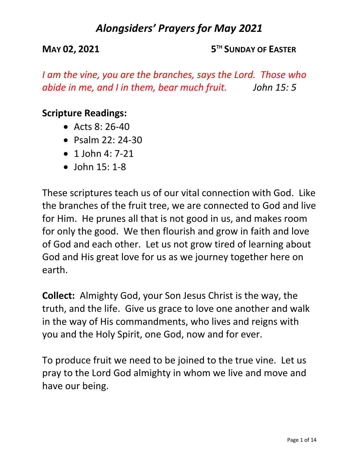**MAY 02, 2021 5TH SUNDAY OF EASTER**

*I am the vine, you are the branches, says the Lord. Those who abide in me, and I in them, bear much fruit. John 15: 5*

### **Scripture Readings:**

- Acts  $8:26-40$
- Psalm 22: 24-30
- $\bullet$  1 John 4: 7-21
- John 15: 1-8

These scriptures teach us of our vital connection with God. Like the branches of the fruit tree, we are connected to God and live for Him. He prunes all that is not good in us, and makes room for only the good. We then flourish and grow in faith and love of God and each other. Let us not grow tired of learning about God and His great love for us as we journey together here on earth.

**Collect:** Almighty God, your Son Jesus Christ is the way, the truth, and the life. Give us grace to love one another and walk in the way of His commandments, who lives and reigns with you and the Holy Spirit, one God, now and for ever.

To produce fruit we need to be joined to the true vine. Let us pray to the Lord God almighty in whom we live and move and have our being.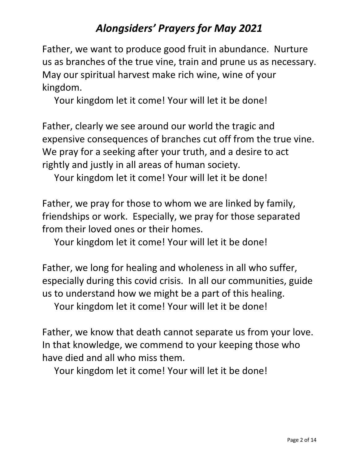Father, we want to produce good fruit in abundance. Nurture us as branches of the true vine, train and prune us as necessary. May our spiritual harvest make rich wine, wine of your kingdom.

Your kingdom let it come! Your will let it be done!

Father, clearly we see around our world the tragic and expensive consequences of branches cut off from the true vine. We pray for a seeking after your truth, and a desire to act rightly and justly in all areas of human society.

Your kingdom let it come! Your will let it be done!

Father, we pray for those to whom we are linked by family, friendships or work. Especially, we pray for those separated from their loved ones or their homes.

Your kingdom let it come! Your will let it be done!

Father, we long for healing and wholeness in all who suffer, especially during this covid crisis. In all our communities, guide us to understand how we might be a part of this healing.

Your kingdom let it come! Your will let it be done!

Father, we know that death cannot separate us from your love. In that knowledge, we commend to your keeping those who have died and all who miss them.

Your kingdom let it come! Your will let it be done!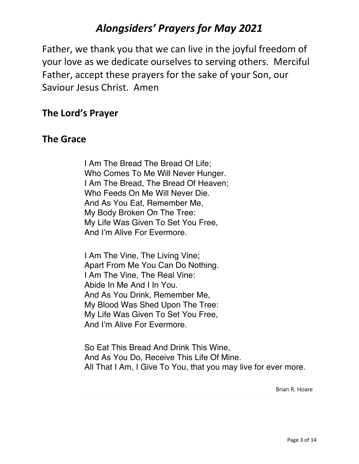Father, we thank you that we can live in the joyful freedom of your love as we dedicate ourselves to serving others. Merciful Father, accept these prayers for the sake of your Son, our Saviour Jesus Christ. Amen

#### **The Lord's Prayer**

#### **The Grace**

I Am The Bread The Bread Of Life; Who Comes To Me Will Never Hunger. I Am The Bread, The Bread Of Heaven; Who Feeds On Me Will Never Die. And As You Eat, Remember Me, My Body Broken On The Tree: My Life Was Given To Set You Free, And I'm Alive For Evermore.

I Am The Vine, The Living Vine; Apart From Me You Can Do Nothing. I Am The Vine, The Real Vine: Abide In Me And I In You. And As You Drink, Remember Me, My Blood Was Shed Upon The Tree: My Life Was Given To Set You Free, And I'm Alive For Evermore.

So Eat This Bread And Drink This Wine, And As You Do, Receive This Life Of Mine. All That I Am, I Give To You, that you may live for ever more.

Brian R. Hoare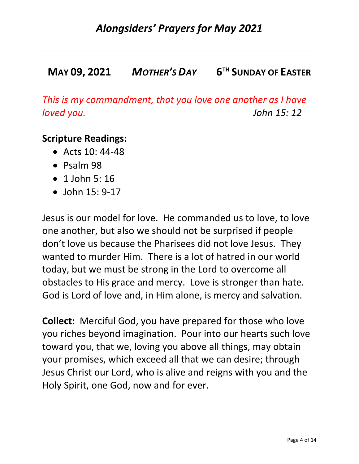## **MAY 09, 2021** *MOTHER'S DAY* **6TH SUNDAY OF EASTER**

*This is my commandment, that you love one another as I have loved you. John 15: 12*

#### **Scripture Readings:**

- Acts  $10:44-48$
- Psalm 98
- 1 John 5: 16
- John 15: 9-17

Jesus is our model for love. He commanded us to love, to love one another, but also we should not be surprised if people don't love us because the Pharisees did not love Jesus. They wanted to murder Him. There is a lot of hatred in our world today, but we must be strong in the Lord to overcome all obstacles to His grace and mercy. Love is stronger than hate. God is Lord of love and, in Him alone, is mercy and salvation.

**Collect:** Merciful God, you have prepared for those who love you riches beyond imagination. Pour into our hearts such love toward you, that we, loving you above all things, may obtain your promises, which exceed all that we can desire; through Jesus Christ our Lord, who is alive and reigns with you and the Holy Spirit, one God, now and for ever.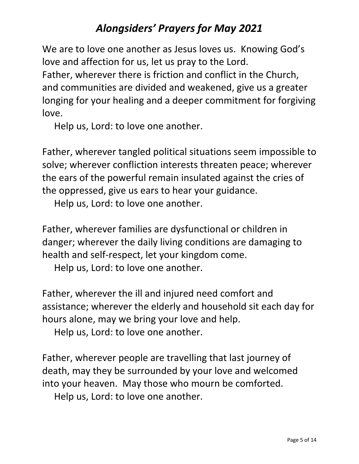We are to love one another as Jesus loves us. Knowing God's love and affection for us, let us pray to the Lord. Father, wherever there is friction and conflict in the Church, and communities are divided and weakened, give us a greater longing for your healing and a deeper commitment for forgiving love.

Help us, Lord: to love one another.

Father, wherever tangled political situations seem impossible to solve; wherever confliction interests threaten peace; wherever the ears of the powerful remain insulated against the cries of the oppressed, give us ears to hear your guidance.

Help us, Lord: to love one another.

Father, wherever families are dysfunctional or children in danger; wherever the daily living conditions are damaging to health and self-respect, let your kingdom come.

Help us, Lord: to love one another.

Father, wherever the ill and injured need comfort and assistance; wherever the elderly and household sit each day for hours alone, may we bring your love and help.

Help us, Lord: to love one another.

Father, wherever people are travelling that last journey of death, may they be surrounded by your love and welcomed into your heaven. May those who mourn be comforted. Help us, Lord: to love one another.

Page 5 of 14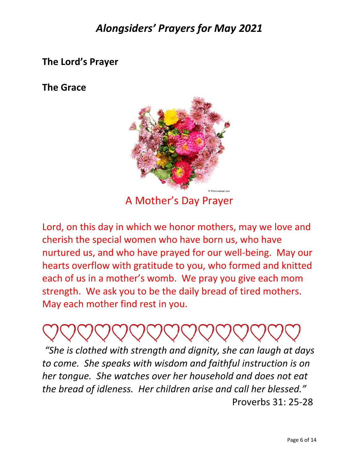### **The Lord's Prayer**

#### **The Grace**



A Mother's Day Prayer

Lord, on this day in which we honor mothers, may we love and cherish the special women who have born us, who have nurtured us, and who have prayed for our well-being. May our hearts overflow with gratitude to you, who formed and knitted each of us in a mother's womb. We pray you give each mom strength. We ask you to be the daily bread of tired mothers. May each mother find rest in you.

*"She is clothed with strength and dignity, she can laugh at days to come. She speaks with wisdom and faithful instruction is on her tongue. She watches over her household and does not eat the bread of idleness. Her children arise and call her blessed."* Proverbs 31: 25-28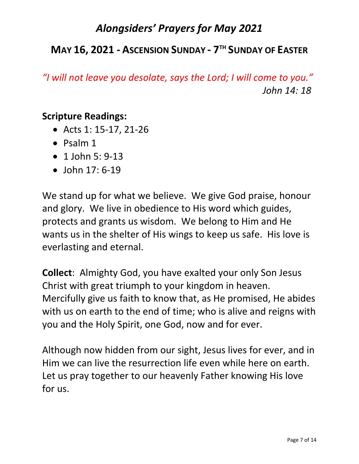## **MAY 16, 2021 - ASCENSION SUNDAY - 7TH SUNDAY OF EASTER**

*"I will not leave you desolate, says the Lord; I will come to you." John 14: 18*

#### **Scripture Readings:**

- Acts 1: 15-17, 21-26
- Psalm 1
- 1 John 5: 9-13
- John 17: 6-19

We stand up for what we believe. We give God praise, honour and glory. We live in obedience to His word which guides, protects and grants us wisdom. We belong to Him and He wants us in the shelter of His wings to keep us safe. His love is everlasting and eternal.

**Collect**: Almighty God, you have exalted your only Son Jesus Christ with great triumph to your kingdom in heaven. Mercifully give us faith to know that, as He promised, He abides with us on earth to the end of time; who is alive and reigns with you and the Holy Spirit, one God, now and for ever.

Although now hidden from our sight, Jesus lives for ever, and in Him we can live the resurrection life even while here on earth. Let us pray together to our heavenly Father knowing His love for us.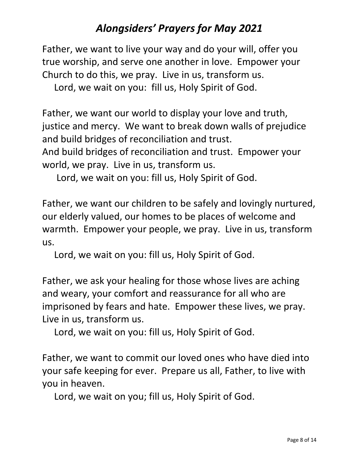Father, we want to live your way and do your will, offer you true worship, and serve one another in love. Empower your Church to do this, we pray. Live in us, transform us.

Lord, we wait on you: fill us, Holy Spirit of God.

Father, we want our world to display your love and truth, justice and mercy. We want to break down walls of prejudice and build bridges of reconciliation and trust.

And build bridges of reconciliation and trust. Empower your world, we pray. Live in us, transform us.

Lord, we wait on you: fill us, Holy Spirit of God.

Father, we want our children to be safely and lovingly nurtured, our elderly valued, our homes to be places of welcome and warmth. Empower your people, we pray. Live in us, transform us.

Lord, we wait on you: fill us, Holy Spirit of God.

Father, we ask your healing for those whose lives are aching and weary, your comfort and reassurance for all who are imprisoned by fears and hate. Empower these lives, we pray. Live in us, transform us.

Lord, we wait on you: fill us, Holy Spirit of God.

Father, we want to commit our loved ones who have died into your safe keeping for ever. Prepare us all, Father, to live with you in heaven.

Lord, we wait on you; fill us, Holy Spirit of God.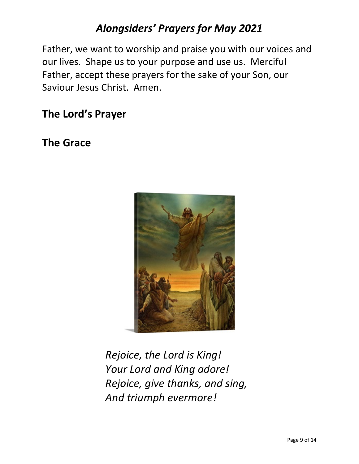Father, we want to worship and praise you with our voices and our lives. Shape us to your purpose and use us. Merciful Father, accept these prayers for the sake of your Son, our Saviour Jesus Christ. Amen.

## **The Lord's Prayer**

## **The Grace**



*Rejoice, the Lord is King! Your Lord and King adore! Rejoice, give thanks, and sing, And triumph evermore!*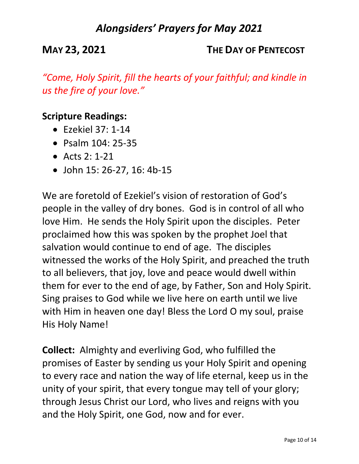**MAY 23, 2021 THE DAY OF PENTECOST**

*"Come, Holy Spirit, fill the hearts of your faithful; and kindle in us the fire of your love."*

### **Scripture Readings:**

- $\bullet$  Fzekiel 37: 1-14
- Psalm 104: 25-35
- Acts 2: 1-21
- John 15: 26-27, 16: 4b-15

We are foretold of Ezekiel's vision of restoration of God's people in the valley of dry bones. God is in control of all who love Him. He sends the Holy Spirit upon the disciples. Peter proclaimed how this was spoken by the prophet Joel that salvation would continue to end of age. The disciples witnessed the works of the Holy Spirit, and preached the truth to all believers, that joy, love and peace would dwell within them for ever to the end of age, by Father, Son and Holy Spirit. Sing praises to God while we live here on earth until we live with Him in heaven one day! Bless the Lord O my soul, praise His Holy Name!

**Collect:** Almighty and everliving God, who fulfilled the promises of Easter by sending us your Holy Spirit and opening to every race and nation the way of life eternal, keep us in the unity of your spirit, that every tongue may tell of your glory; through Jesus Christ our Lord, who lives and reigns with you and the Holy Spirit, one God, now and for ever.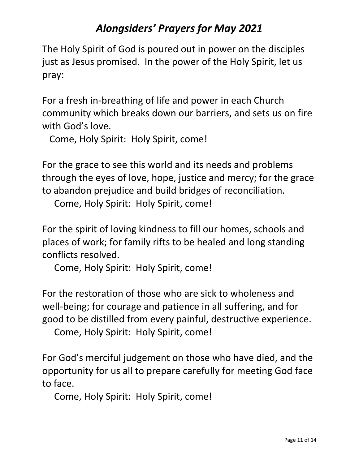The Holy Spirit of God is poured out in power on the disciples just as Jesus promised. In the power of the Holy Spirit, let us pray:

For a fresh in-breathing of life and power in each Church community which breaks down our barriers, and sets us on fire with God's love.

Come, Holy Spirit: Holy Spirit, come!

For the grace to see this world and its needs and problems through the eyes of love, hope, justice and mercy; for the grace to abandon prejudice and build bridges of reconciliation.

Come, Holy Spirit: Holy Spirit, come!

For the spirit of loving kindness to fill our homes, schools and places of work; for family rifts to be healed and long standing conflicts resolved.

Come, Holy Spirit: Holy Spirit, come!

For the restoration of those who are sick to wholeness and well-being; for courage and patience in all suffering, and for good to be distilled from every painful, destructive experience.

Come, Holy Spirit: Holy Spirit, come!

For God's merciful judgement on those who have died, and the opportunity for us all to prepare carefully for meeting God face to face.

Come, Holy Spirit: Holy Spirit, come!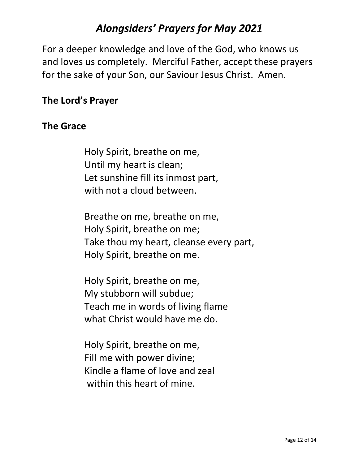For a deeper knowledge and love of the God, who knows us and loves us completely. Merciful Father, accept these prayers for the sake of your Son, our Saviour Jesus Christ. Amen.

## **The Lord's Prayer**

#### **The Grace**

Holy Spirit, breathe on me, Until my heart is clean; Let sunshine fill its inmost part, with not a cloud between.

Breathe on me, breathe on me, Holy Spirit, breathe on me; Take thou my heart, cleanse every part, Holy Spirit, breathe on me.

Holy Spirit, breathe on me, My stubborn will subdue; Teach me in words of living flame what Christ would have me do.

Holy Spirit, breathe on me, Fill me with power divine; Kindle a flame of love and zeal within this heart of mine.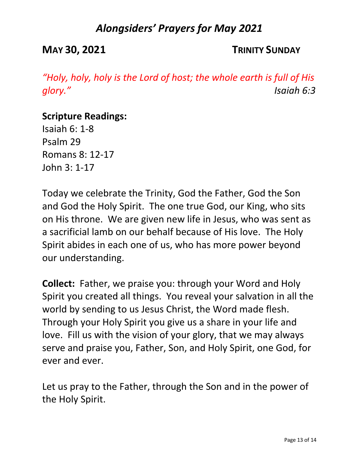**MAY 30, 2021 TRINITY SUNDAY**

*"Holy, holy, holy is the Lord of host; the whole earth is full of His glory." Isaiah 6:3*

#### **Scripture Readings:**

Isaiah 6: 1-8 Psalm 29 Romans 8: 12-17 John 3: 1-17

Today we celebrate the Trinity, God the Father, God the Son and God the Holy Spirit. The one true God, our King, who sits on His throne. We are given new life in Jesus, who was sent as a sacrificial lamb on our behalf because of His love. The Holy Spirit abides in each one of us, who has more power beyond our understanding.

**Collect:** Father, we praise you: through your Word and Holy Spirit you created all things. You reveal your salvation in all the world by sending to us Jesus Christ, the Word made flesh. Through your Holy Spirit you give us a share in your life and love. Fill us with the vision of your glory, that we may always serve and praise you, Father, Son, and Holy Spirit, one God, for ever and ever.

Let us pray to the Father, through the Son and in the power of the Holy Spirit.